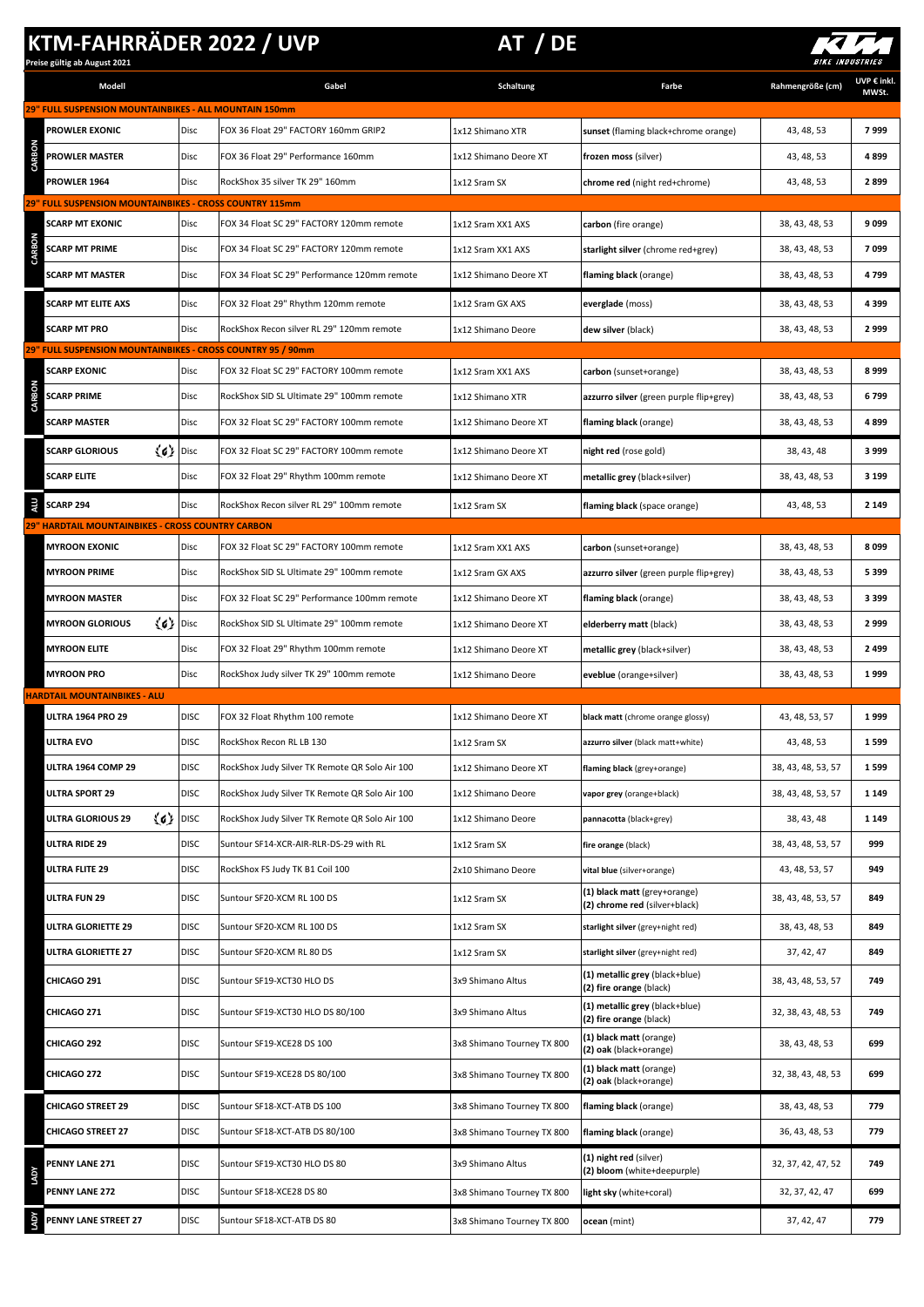## **KTM-FAHRRÄDER 2022 / UVP AT / DE**

**Preise gültig ab August 2021**



| Modell                                                                            |             | Gabel                                          | <b>Schaltung</b>           | Farbe                                                         | Rahmengröße (cm)   | UVP € inkl.<br>MWSt. |
|-----------------------------------------------------------------------------------|-------------|------------------------------------------------|----------------------------|---------------------------------------------------------------|--------------------|----------------------|
| 29" FULL SUSPENSION MOUNTAINBIKES - ALL MOUNTAIN 150mm                            |             |                                                |                            |                                                               |                    |                      |
| <b>PROWLER EXONIC</b>                                                             | <b>Disc</b> | FOX 36 Float 29" FACTORY 160mm GRIP2           | 1x12 Shimano XTR           | sunset (flaming black+chrome orange)                          | 43, 48, 53         | 7999                 |
| <b>PROWLER MASTER</b>                                                             | <b>Disc</b> | FOX 36 Float 29" Performance 160mm             | 1x12 Shimano Deore XT      | frozen moss (silver)                                          | 43, 48, 53         | 4899                 |
| <b>PROWLER 1964</b>                                                               | <b>Disc</b> | RockShox 35 silver TK 29" 160mm                | 1x12 Sram SX               | chrome red (night red+chrome)                                 | 43, 48, 53         | 2899                 |
| 29" FULL SUSPENSION MOUNTAINBIKES - CROSS COUNTRY 115mm<br><b>SCARP MT EXONIC</b> | <b>Disc</b> | FOX 34 Float SC 29" FACTORY 120mm remote       | 1x12 Sram XX1 AXS          | carbon (fire orange)                                          | 38, 43, 48, 53     | 9099                 |
| <b>SCARP MT PRIME</b>                                                             | <b>Disc</b> | FOX 34 Float SC 29" FACTORY 120mm remote       | 1x12 Sram XX1 AXS          | starlight silver (chrome red+grey)                            | 38, 43, 48, 53     | 7099                 |
| SCARP MT MASTER                                                                   | <b>Disc</b> | FOX 34 Float SC 29" Performance 120mm remote   | 1x12 Shimano Deore XT      | flaming black (orange)                                        | 38, 43, 48, 53     | 4799                 |
| <b>SCARP MT ELITE AXS</b>                                                         | Disc        | FOX 32 Float 29" Rhythm 120mm remote           | 1x12 Sram GX AXS           | everglade (moss)                                              | 38, 43, 48, 53     | 4399                 |
| <b>SCARP MT PRO</b>                                                               | Disc        | RockShox Recon silver RL 29" 120mm remote      | 1x12 Shimano Deore         | dew silver (black)                                            | 38, 43, 48, 53     | 2999                 |
| 29" FULL SUSPENSION MOUNTAINBIKES - CROSS COUNTRY 95 / 90mm                       |             |                                                |                            |                                                               |                    |                      |
| <b>SCARP EXONIC</b>                                                               | Disc        | FOX 32 Float SC 29" FACTORY 100mm remote       | 1x12 Sram XX1 AXS          | carbon (sunset+orange)                                        | 38, 43, 48, 53     | 8999                 |
| <b>SCARP PRIME</b>                                                                | Disc        | RockShox SID SL Ultimate 29" 100mm remote      | 1x12 Shimano XTR           | azzurro silver (green purple flip+grey)                       | 38, 43, 48, 53     | 6799                 |
| <b>SCARP MASTER</b>                                                               | Disc        | FOX 32 Float SC 29" FACTORY 100mm remote       | 1x12 Shimano Deore XT      | flaming black (orange)                                        | 38, 43, 48, 53     | 4899                 |
| $\langle 6 \rangle$ Disc<br><b>SCARP GLORIOUS</b>                                 |             | FOX 32 Float SC 29" FACTORY 100mm remote       | 1x12 Shimano Deore XT      | night red (rose gold)                                         | 38, 43, 48         | 3999                 |
| <b>SCARP ELITE</b>                                                                | Disc        | FOX 32 Float 29" Rhythm 100mm remote           | 1x12 Shimano Deore XT      | metallic grey (black+silver)                                  | 38, 43, 48, 53     | 3 1 9 9              |
| SCARP 294                                                                         | Disc        | RockShox Recon silver RL 29" 100mm remote      | 1x12 Sram SX               | flaming black (space orange)                                  | 43, 48, 53         | 2 1 4 9              |
| 9" HARDTAIL MOUNTAINBIKES - CROSS COUNTRY CARBON<br><b>MYROON EXONIC</b>          | Disc        | FOX 32 Float SC 29" FACTORY 100mm remote       | 1x12 Sram XX1 AXS          | carbon (sunset+orange)                                        | 38, 43, 48, 53     | 8099                 |
| <b>MYROON PRIME</b>                                                               | Disc        | RockShox SID SL Ultimate 29" 100mm remote      | 1x12 Sram GX AXS           | azzurro silver (green purple flip+grey)                       | 38, 43, 48, 53     | 5399                 |
| <b>MYROON MASTER</b>                                                              | Disc        | FOX 32 Float SC 29" Performance 100mm remote   | 1x12 Shimano Deore XT      | flaming black (orange)                                        | 38, 43, 48, 53     | 3399                 |
| $\langle 6 \rangle$ Disc<br><b>MYROON GLORIOUS</b>                                |             | RockShox SID SL Ultimate 29" 100mm remote      | 1x12 Shimano Deore XT      | elderberry matt (black)                                       | 38, 43, 48, 53     | 2999                 |
| <b>MYROON ELITE</b>                                                               | Disc        | FOX 32 Float 29" Rhythm 100mm remote           |                            |                                                               |                    |                      |
|                                                                                   |             |                                                | 1x12 Shimano Deore XT      |                                                               | 38, 43, 48, 53     | 2499                 |
| <b>MYROON PRO</b>                                                                 | Disc        | RockShox Judy silver TK 29" 100mm remote       | 1x12 Shimano Deore         | metallic grey (black+silver)<br>eveblue (orange+silver)       | 38, 43, 48, 53     | 1999                 |
| <b>HARDTAIL MOUNTAINBIKES - ALU</b>                                               |             |                                                |                            |                                                               |                    |                      |
| <b>ULTRA 1964 PRO 29</b>                                                          | <b>DISC</b> | FOX 32 Float Rhythm 100 remote                 | 1x12 Shimano Deore XT      | black matt (chrome orange glossy)                             | 43, 48, 53, 57     | 1999                 |
| ULTRA EVO                                                                         | <b>DISC</b> | RockShox Recon RL LB 130                       | 1x12 Sram SX               | azzurro silver (black matt+white)                             | 43, 48, 53         | 1599                 |
| ULTRA 1964 COMP 29                                                                | <b>DISC</b> | RockShox Judy Silver TK Remote QR Solo Air 100 | 1x12 Shimano Deore XT      | flaming black (grey+orange)                                   | 38, 43, 48, 53, 57 | 1599                 |
| <b>ULTRA SPORT 29</b>                                                             | <b>DISC</b> | RockShox Judy Silver TK Remote QR Solo Air 100 | 1x12 Shimano Deore         | vapor grey (orange+black)                                     | 38, 43, 48, 53, 57 | 1 1 4 9              |
| $\langle 6 \rangle$  DISC<br><b>ULTRA GLORIOUS 29</b>                             |             | RockShox Judy Silver TK Remote QR Solo Air 100 | 1x12 Shimano Deore         | pannacotta (black+grey)                                       | 38, 43, 48         | 1 1 4 9              |
| ULTRA RIDE 29                                                                     | <b>DISC</b> | Suntour SF14-XCR-AIR-RLR-DS-29 with RL         | 1x12 Sram SX               | fire orange (black)                                           | 38, 43, 48, 53, 57 | 999                  |
| ULTRA FLITE 29                                                                    | <b>DISC</b> | RockShox FS Judy TK B1 Coil 100                | 2x10 Shimano Deore         | vital blue (silver+orange)                                    | 43, 48, 53, 57     | 949                  |
| ULTRA FUN 29                                                                      | <b>DISC</b> | Suntour SF20-XCM RL 100 DS                     | 1x12 Sram SX               | (1) black matt (grey+orange)<br>(2) chrome red (silver+black) | 38, 43, 48, 53, 57 | 849                  |
| ULTRA GLORIETTE 29                                                                | <b>DISC</b> | Suntour SF20-XCM RL 100 DS                     | 1x12 Sram SX               | starlight silver (grey+night red)                             | 38, 43, 48, 53     | 849                  |
| <b>ULTRA GLORIETTE 27</b>                                                         | <b>DISC</b> | Suntour SF20-XCM RL 80 DS                      | 1x12 Sram SX               | starlight silver (grey+night red)                             | 37, 42, 47         | 849                  |
| <b>CHICAGO 291</b>                                                                | <b>DISC</b> | Suntour SF19-XCT30 HLO DS                      | 3x9 Shimano Altus          | (1) metallic grey (black+blue)<br>(2) fire orange (black)     | 38, 43, 48, 53, 57 | 749                  |
| CHICAGO 271                                                                       | <b>DISC</b> | Suntour SF19-XCT30 HLO DS 80/100               | 3x9 Shimano Altus          | (1) metallic grey (black+blue)<br>(2) fire orange (black)     | 32, 38, 43, 48, 53 | 749                  |
| <b>CHICAGO 292</b>                                                                | <b>DISC</b> | Suntour SF19-XCE28 DS 100                      | 3x8 Shimano Tourney TX 800 | (1) black matt (orange)<br>(2) oak (black+orange)             | 38, 43, 48, 53     | 699                  |
| <b>CHICAGO 272</b>                                                                | <b>DISC</b> | Suntour SF19-XCE28 DS 80/100                   | 3x8 Shimano Tourney TX 800 | (1) black matt (orange)<br>(2) oak (black+orange)             | 32, 38, 43, 48, 53 | 699                  |
| <b>CHICAGO STREET 29</b>                                                          | <b>DISC</b> | Suntour SF18-XCT-ATB DS 100                    | 3x8 Shimano Tourney TX 800 | flaming black (orange)                                        | 38, 43, 48, 53     | 779                  |
| <b>CHICAGO STREET 27</b>                                                          | <b>DISC</b> | Suntour SF18-XCT-ATB DS 80/100                 | 3x8 Shimano Tourney TX 800 | flaming black (orange)                                        | 36, 43, 48, 53     | 779                  |
| <b>PENNY LANE 271</b>                                                             | <b>DISC</b> | Suntour SF19-XCT30 HLO DS 80                   | 3x9 Shimano Altus          | (1) night red (silver)<br>(2) bloom (white+deepurple)         | 32, 37, 42, 47, 52 | 749                  |
| <b>PENNY LANE 272</b>                                                             | <b>DISC</b> | Suntour SF18-XCE28 DS 80                       | 3x8 Shimano Tourney TX 800 | light sky (white+coral)                                       | 32, 37, 42, 47     | 699                  |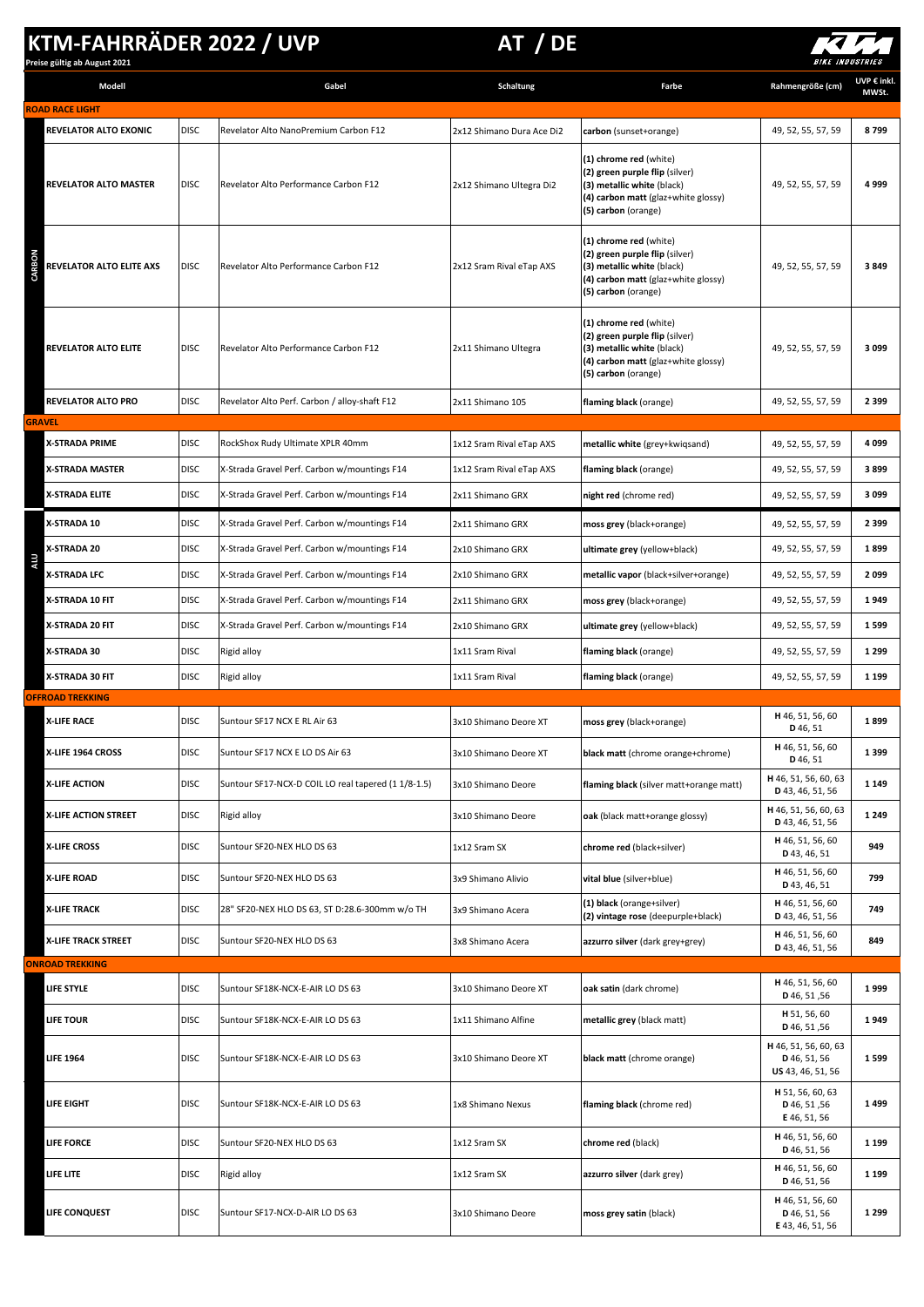## **KTM-FAHRRÄDER 2022 / UVP AT / DE**

**Preise gültig ab August 2021**



| Modell                       |             | Gabel                                               | Schaltung                 | Farbe                                                                                                                                                | Rahmengröße (cm)                                          | UVP € inkl.<br>MWSt. |
|------------------------------|-------------|-----------------------------------------------------|---------------------------|------------------------------------------------------------------------------------------------------------------------------------------------------|-----------------------------------------------------------|----------------------|
| <b>ROAD RACE LIGHT</b>       |             |                                                     |                           |                                                                                                                                                      |                                                           |                      |
| <b>REVELATOR ALTO EXONIC</b> | <b>DISC</b> | Revelator Alto NanoPremium Carbon F12               | 2x12 Shimano Dura Ace Di2 | carbon (sunset+orange)                                                                                                                               | 49, 52, 55, 57, 59                                        | 8799                 |
| <b>REVELATOR ALTO MASTER</b> | <b>DISC</b> | Revelator Alto Performance Carbon F12               | 2x12 Shimano Ultegra Di2  | (1) chrome red (white)<br>(2) green purple flip (silver)<br>(3) metallic white (black)<br>(4) carbon matt (glaz+white glossy)<br>(5) carbon (orange) | 49, 52, 55, 57, 59                                        | 4999                 |
| REVELATOR ALTO ELITE AXS     | <b>DISC</b> | Revelator Alto Performance Carbon F12               | 2x12 Sram Rival eTap AXS  | (1) chrome red (white)<br>(2) green purple flip (silver)<br>(3) metallic white (black)<br>(4) carbon matt (glaz+white glossy)<br>(5) carbon (orange) | 49, 52, 55, 57, 59                                        | 3849                 |
| <b>REVELATOR ALTO ELITE</b>  | <b>DISC</b> | Revelator Alto Performance Carbon F12               | 2x11 Shimano Ultegra      | (1) chrome red (white)<br>(2) green purple flip (silver)<br>(3) metallic white (black)<br>(4) carbon matt (glaz+white glossy)<br>(5) carbon (orange) | 49, 52, 55, 57, 59                                        | 3099                 |
| <b>REVELATOR ALTO PRO</b>    | <b>DISC</b> | Revelator Alto Perf. Carbon / alloy-shaft F12       | 2x11 Shimano 105          | flaming black (orange)                                                                                                                               | 49, 52, 55, 57, 59                                        | 2 3 9 9              |
| <b>GRAVEL</b>                |             |                                                     |                           |                                                                                                                                                      |                                                           |                      |
| <b>X-STRADA PRIME</b>        | <b>DISC</b> | RockShox Rudy Ultimate XPLR 40mm                    | 1x12 Sram Rival eTap AXS  | metallic white (grey+kwiqsand)                                                                                                                       | 49, 52, 55, 57, 59                                        | 4099                 |
| X-STRADA MASTER              | <b>DISC</b> | X-Strada Gravel Perf. Carbon w/mountings F14        | 1x12 Sram Rival eTap AXS  | flaming black (orange)                                                                                                                               | 49, 52, 55, 57, 59                                        | 3899                 |
| X-STRADA ELITE               | <b>DISC</b> | X-Strada Gravel Perf. Carbon w/mountings F14        | 2x11 Shimano GRX          | night red (chrome red)                                                                                                                               | 49, 52, 55, 57, 59                                        | 3099                 |
| X-STRADA 10                  | <b>DISC</b> | X-Strada Gravel Perf. Carbon w/mountings F14        | 2x11 Shimano GRX          | moss grey (black+orange)                                                                                                                             | 49, 52, 55, 57, 59                                        | 2 3 9 9              |
| X-STRADA 20                  | <b>DISC</b> | X-Strada Gravel Perf. Carbon w/mountings F14        | 2x10 Shimano GRX          | ultimate grey (yellow+black)                                                                                                                         | 49, 52, 55, 57, 59                                        | 1899                 |
| ALL.<br>X-STRADA LFC         | <b>DISC</b> | X-Strada Gravel Perf. Carbon w/mountings F14        | 2x10 Shimano GRX          | metallic vapor (black+silver+orange)                                                                                                                 | 49, 52, 55, 57, 59                                        | 2099                 |
| X-STRADA 10 FIT              | <b>DISC</b> | X-Strada Gravel Perf. Carbon w/mountings F14        | 2x11 Shimano GRX          | moss grey (black+orange)                                                                                                                             | 49, 52, 55, 57, 59                                        | 1949                 |
| X-STRADA 20 FIT              | <b>DISC</b> | X-Strada Gravel Perf. Carbon w/mountings F14        | 2x10 Shimano GRX          | ultimate grey (yellow+black)                                                                                                                         | 49, 52, 55, 57, 59                                        | 1599                 |
| X-STRADA 30                  | <b>DISC</b> | Rigid alloy                                         | 1x11 Sram Rival           | flaming black (orange)                                                                                                                               | 49, 52, 55, 57, 59                                        | 1 2 9 9              |
| X-STRADA 30 FIT              | <b>DISC</b> | Rigid alloy                                         | 1x11 Sram Rival           | flaming black (orange)                                                                                                                               | 49, 52, 55, 57, 59                                        | 1 1 9 9              |
| <b>OFFROAD TREKKING</b>      |             |                                                     |                           |                                                                                                                                                      |                                                           |                      |
| <b>X-LIFE RACE</b>           | <b>DISC</b> | Suntour SF17 NCX E RL Air 63                        | 3x10 Shimano Deore XT     | moss grey (black+orange)                                                                                                                             | H 46, 51, 56, 60<br>D 46, 51                              | 1899                 |
| X-LIFE 1964 CROSS            | <b>DISC</b> | Suntour SF17 NCX E LO DS Air 63                     | 3x10 Shimano Deore XT     | black matt (chrome orange+chrome)                                                                                                                    | H 46, 51, 56, 60<br>D 46, 51                              | 1399                 |
| <b>X-LIFE ACTION</b>         | <b>DISC</b> | Suntour SF17-NCX-D COIL LO real tapered (1 1/8-1.5) | 3x10 Shimano Deore        | flaming black (silver matt+orange matt)                                                                                                              | H 46, 51, 56, 60, 63<br>D 43, 46, 51, 56                  | 1 1 4 9              |
| X-LIFE ACTION STREET         | <b>DISC</b> | Rigid alloy                                         | 3x10 Shimano Deore        | oak (black matt+orange glossy)                                                                                                                       | H 46, 51, 56, 60, 63<br>D 43, 46, 51, 56                  | 1 2 4 9              |
| <b>X-LIFE CROSS</b>          | <b>DISC</b> | Suntour SF20-NEX HLO DS 63                          | 1x12 Sram SX              | chrome red (black+silver)                                                                                                                            | H 46, 51, 56, 60<br>D 43, 46, 51                          | 949                  |
| <b>X-LIFE ROAD</b>           | <b>DISC</b> | Suntour SF20-NEX HLO DS 63                          | 3x9 Shimano Alivio        | vital blue (silver+blue)                                                                                                                             | H 46, 51, 56, 60<br>D 43, 46, 51                          | 799                  |
| <b>X-LIFE TRACK</b>          | <b>DISC</b> | 28" SF20-NEX HLO DS 63, ST D:28.6-300mm w/o TH      | 3x9 Shimano Acera         | (1) black (orange+silver)<br>(2) vintage rose (deepurple+black)                                                                                      | H 46, 51, 56, 60<br>D 43, 46, 51, 56                      | 749                  |
| X-LIFE TRACK STREET          | <b>DISC</b> | Suntour SF20-NEX HLO DS 63                          | 3x8 Shimano Acera         | azzurro silver (dark grey+grey)                                                                                                                      | H 46, 51, 56, 60<br>D 43, 46, 51, 56                      | 849                  |
| <b>ONROAD TREKKING</b>       |             |                                                     |                           |                                                                                                                                                      |                                                           |                      |
| LIFE STYLE                   | <b>DISC</b> | Suntour SF18K-NCX-E-AIR LO DS 63                    | 3x10 Shimano Deore XT     | oak satin (dark chrome)                                                                                                                              | H 46, 51, 56, 60<br>D 46, 51, 56                          | 1999                 |
| <b>LIFE TOUR</b>             | <b>DISC</b> | Suntour SF18K-NCX-E-AIR LO DS 63                    | 1x11 Shimano Alfine       | metallic grey (black matt)                                                                                                                           | H 51, 56, 60<br>D 46, 51, 56                              | 1949                 |
| <b>LIFE 1964</b>             | <b>DISC</b> | Suntour SF18K-NCX-E-AIR LO DS 63                    | 3x10 Shimano Deore XT     | black matt (chrome orange)                                                                                                                           | H 46, 51, 56, 60, 63<br>D 46, 51, 56<br>US 43, 46, 51, 56 | 1599                 |
| LIFE EIGHT                   | <b>DISC</b> | Suntour SF18K-NCX-E-AIR LO DS 63                    | 1x8 Shimano Nexus         | flaming black (chrome red)                                                                                                                           | H 51, 56, 60, 63<br>D 46, 51, 56<br>E 46, 51, 56          | 1499                 |
| <b>LIFE FORCE</b>            | <b>DISC</b> | Suntour SF20-NEX HLO DS 63                          | 1x12 Sram SX              | chrome red (black)                                                                                                                                   | H 46, 51, 56, 60<br>D 46, 51, 56                          | 1 1 9 9              |
| LIFE LITE                    | <b>DISC</b> | Rigid alloy                                         | 1x12 Sram SX              | azzurro silver (dark grey)                                                                                                                           | H 46, 51, 56, 60<br>D 46, 51, 56                          | 1 1 9 9              |
| LIFE CONQUEST                | <b>DISC</b> | Suntour SF17-NCX-D-AIR LO DS 63                     | 3x10 Shimano Deore        | moss grey satin (black)                                                                                                                              | H 46, 51, 56, 60<br>D 46, 51, 56<br>E 43, 46, 51, 56      | 1 2 9 9              |